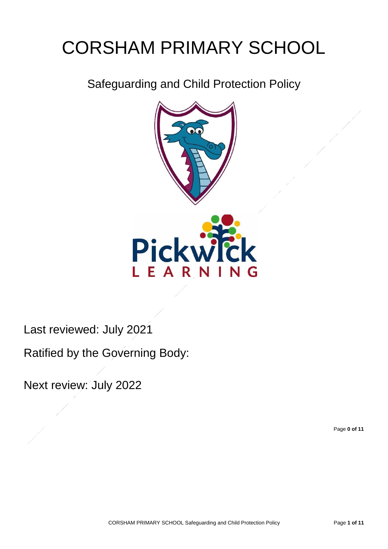# CORSHAM PRIMARY SCHOOL

Safeguarding and Child Protection Policy



Last reviewed: July 2021

Ratified by the Governing Body:

Next review: July 2022

Page **0 of 11**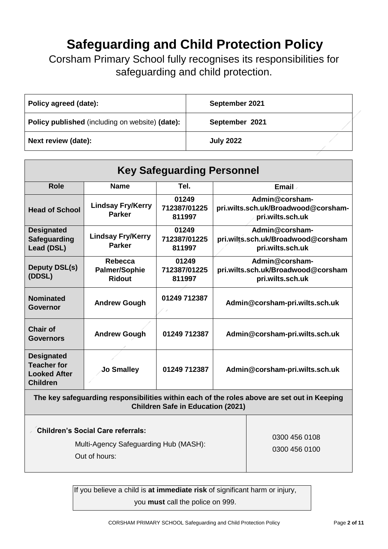# **Safeguarding and Child Protection Policy**

Corsham Primary School fully recognises its responsibilities for safeguarding and child protection.

| Policy agreed (date):                                  | September 2021   |  |
|--------------------------------------------------------|------------------|--|
| <b>Policy published</b> (including on website) (date): | September 2021   |  |
| Next review (date):                                    | <b>July 2022</b> |  |

| <b>Key Safeguarding Personnel</b>                                                                                                       |                                                  |                                 |                                                                           |  |
|-----------------------------------------------------------------------------------------------------------------------------------------|--------------------------------------------------|---------------------------------|---------------------------------------------------------------------------|--|
| <b>Role</b>                                                                                                                             | <b>Name</b>                                      | Tel.                            | Email .                                                                   |  |
| <b>Head of School</b>                                                                                                                   | <b>Lindsay Fry/Kerry</b><br><b>Parker</b>        | 01249<br>712387/01225<br>811997 | Admin@corsham-<br>pri.wilts.sch.uk/Broadwood@corsham-<br>pri.wilts.sch.uk |  |
| <b>Designated</b><br><b>Safeguarding</b><br><b>Lead (DSL)</b>                                                                           | <b>Lindsay Fry/Kerry</b><br><b>Parker</b>        | 01249<br>712387/01225<br>811997 | Admin@corsham-<br>pri.wilts.sch.uk/Broadwood@corsham<br>pri.wilts.sch.uk  |  |
| <b>Deputy DSL(s)</b><br>(DDSL)                                                                                                          | Rebecca<br><b>Palmer/Sophie</b><br><b>Ridout</b> | 01249<br>712387/01225<br>811997 | Admin@corsham-<br>pri.wilts.sch.uk/Broadwood@corsham<br>pri.wilts.sch.uk  |  |
| <b>Nominated</b><br>Governor                                                                                                            | <b>Andrew Gough</b>                              | 01249 712387                    | Admin@corsham-pri.wilts.sch.uk                                            |  |
| <b>Chair of</b><br>Governors                                                                                                            | <b>Andrew Gough</b>                              | 01249 712387                    | Admin@corsham-pri.wilts.sch.uk                                            |  |
| <b>Designated</b><br><b>Teacher for</b><br><b>Looked After</b><br><b>Children</b>                                                       | Jo Smalley                                       | 01249 712387                    | Admin@corsham-pri.wilts.sch.uk                                            |  |
| The key safeguarding responsibilities within each of the roles above are set out in Keeping<br><b>Children Safe in Education (2021)</b> |                                                  |                                 |                                                                           |  |

| 0300 456 0108<br>Multi-Agency Safeguarding Hub (MASH):<br>0300 456 0100<br>Out of hours: |
|------------------------------------------------------------------------------------------|
|------------------------------------------------------------------------------------------|

If you believe a child is **at immediate risk** of significant harm or injury, you **must** call the police on 999.

CORSHAM PRIMARY SCHOOL Safeguarding and Child Protection Policy Page **2 of 11**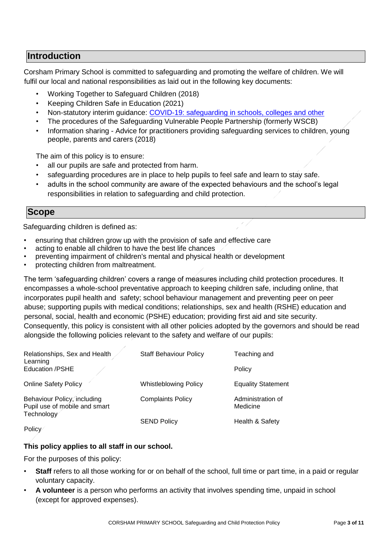# **Introduction**

Corsham Primary School is committed to safeguarding and promoting the welfare of children. We will fulfil our local and national responsibilities as laid out in the following key documents:

- Working Together to Safeguard Children (2018)
- Keeping Children Safe in Education (2021)
- Non-statutory interim guidance: [COVID-19: safeguarding in schools, colleges and other](https://www.gov.uk/government/publications/covid-19-safeguarding-in-schools-colleges-and-other-providers/coronavirus-covid-19-safeguarding-in-schools-colleges-and-other-providers)
- [The procedures of the](http://www.proceduresonline.com/birmingham/scb/) [S](http://www.proceduresonline.com/birmingham/scb/)afeguarding Vulnerable People Partnership (formerly WSCB)
- Information sharing Advice for practitioners providing safeguarding services to children, young people, parents and carers (2018)

The aim of this policy is to ensure:

- all our pupils are safe and protected from harm.
- safeguarding procedures are in place to help pupils to feel safe and learn to stay safe.
- adults in the school community are aware of the expected behaviours and the school's legal responsibilities in relation to safeguarding and child protection.

#### **Scope**

Safeguarding children is defined as:

- ensuring that children grow up with the provision of safe and effective care
- acting to enable all children to have the best life chances
- preventing impairment of children's mental and physical health or development
- protecting children from maltreatment.

The term 'safeguarding children' covers a range of measures including child protection procedures. It encompasses a whole-school preventative approach to keeping children safe, including online, that incorporates pupil health and safety; school behaviour management and preventing peer on peer abuse; supporting pupils with medical conditions; relationships, sex and health (RSHE) education and personal, social, health and economic (PSHE) education; providing first aid and site security. Consequently, this policy is consistent with all other policies adopted by the governors and should be read alongside the following policies relevant to the safety and welfare of our pupils:

| Relationships, Sex and Health<br>Learning                                  | <b>Staff Behaviour Policy</b> | Teaching and                  |
|----------------------------------------------------------------------------|-------------------------------|-------------------------------|
| <b>Education /PSHE</b>                                                     |                               | Policy                        |
| <b>Online Safety Policy</b>                                                | <b>Whistleblowing Policy</b>  | <b>Equality Statement</b>     |
| Behaviour Policy, including<br>Pupil use of mobile and smart<br>Technology | <b>Complaints Policy</b>      | Administration of<br>Medicine |
| $P = 1: 2: 7$                                                              | <b>SEND Policy</b>            | Health & Safety               |

Policy

#### **This policy applies to all staff in our school.**

For the purposes of this policy:

- **Staff** refers to all those working for or on behalf of the school, full time or part time, in a paid or regular voluntary capacity.
- **A volunteer** is a person who performs an activity that involves spending time, unpaid in school (except for approved expenses).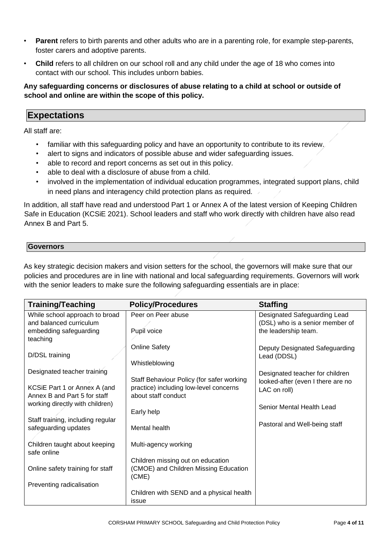- **Parent** refers to birth parents and other adults who are in a parenting role, for example step-parents, foster carers and adoptive parents.
- **Child** refers to all children on our school roll and any child under the age of 18 who comes into contact with our school. This includes unborn babies.

**Any safeguarding concerns or disclosures of abuse relating to a child at school or outside of school and online are within the scope of this policy.** 

# **Expectations**

All staff are:

- familiar with this safeguarding policy and have an opportunity to contribute to its review.
- alert to signs and indicators of possible abuse and wider safeguarding issues.
- able to record and report concerns as set out in this policy.
- able to deal with a disclosure of abuse from a child.
- involved in the implementation of individual education programmes, integrated support plans, child in need plans and interagency child protection plans as required.

In addition, all staff have read and understood Part 1 or Annex A of the latest version of Keeping Children Safe in Education (KCSiE 2021). School leaders and staff who work directly with children have also read Annex B and Part 5.

#### **Governors**

As key strategic decision makers and vision setters for the school, the governors will make sure that our policies and procedures are in line with national and local safeguarding requirements. Governors will work with the senior leaders to make sure the following safeguarding essentials are in place:

| <b>Training/Teaching</b>          | <b>Policy/Procedures</b>                  | <b>Staffing</b>                   |
|-----------------------------------|-------------------------------------------|-----------------------------------|
| While school approach to broad    | Peer on Peer abuse                        | Designated Safeguarding Lead      |
| and balanced curriculum           |                                           | (DSL) who is a senior member of   |
| embedding safeguarding            | Pupil voice                               | the leadership team.              |
| teaching                          |                                           |                                   |
|                                   | <b>Online Safety</b>                      | Deputy Designated Safeguarding    |
| D/DSL training                    |                                           | Lead (DDSL)                       |
|                                   | Whistleblowing                            |                                   |
| Designated teacher training       |                                           | Designated teacher for children   |
|                                   | Staff Behaviour Policy (for safer working | looked-after (even I there are no |
| KCSiE Part 1 or Annex A (and      | practice) including low-level concerns    | LAC on roll)                      |
| Annex B and Part 5 for staff      | about staff conduct                       |                                   |
| working directly with children)   |                                           | Senior Mental Health Lead         |
|                                   | Early help                                |                                   |
| Staff training, including regular | Mental health                             | Pastoral and Well-being staff     |
| safeguarding updates              |                                           |                                   |
| Children taught about keeping     | Multi-agency working                      |                                   |
| safe online                       |                                           |                                   |
|                                   | Children missing out on education         |                                   |
| Online safety training for staff  | (CMOE) and Children Missing Education     |                                   |
|                                   | (CME)                                     |                                   |
| Preventing radicalisation         |                                           |                                   |
|                                   | Children with SEND and a physical health  |                                   |
|                                   | issue                                     |                                   |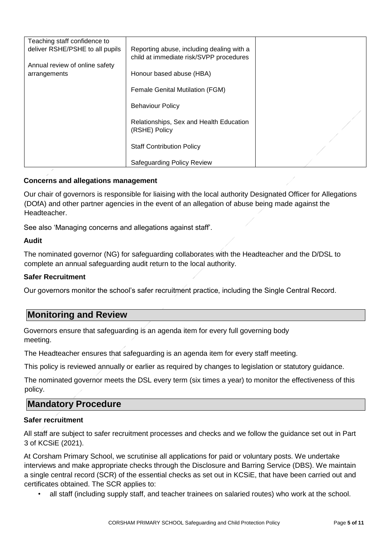| Teaching staff confidence to    |                                           |  |
|---------------------------------|-------------------------------------------|--|
| deliver RSHE/PSHE to all pupils | Reporting abuse, including dealing with a |  |
|                                 | child at immediate risk/SVPP procedures   |  |
|                                 |                                           |  |
| Annual review of online safety  |                                           |  |
| arrangements                    | Honour based abuse (HBA)                  |  |
|                                 |                                           |  |
|                                 | Female Genital Mutilation (FGM)           |  |
|                                 |                                           |  |
|                                 |                                           |  |
|                                 | <b>Behaviour Policy</b>                   |  |
|                                 |                                           |  |
|                                 | Relationships, Sex and Health Education   |  |
|                                 | (RSHE) Policy                             |  |
|                                 |                                           |  |
|                                 |                                           |  |
|                                 | <b>Staff Contribution Policy</b>          |  |
|                                 |                                           |  |
|                                 | Safeguarding Policy Review                |  |
|                                 |                                           |  |

#### **Concerns and allegations management**

Our chair of governors is responsible for liaising with the local authority Designated Officer for Allegations (DOfA) and other partner agencies in the event of an allegation of abuse being made against the Headteacher.

See also 'Managing concerns and allegations against staff'.

#### **Audit**

The nominated governor (NG) for safeguarding collaborates with the Headteacher and the D/DSL to complete an annual safeguarding audit return to the local authority.

#### **Safer Recruitment**

Our governors monitor the school's safer recruitment practice, including the Single Central Record.

# **Monitoring and Review**

Governors ensure that safeguarding is an agenda item for every full governing body meeting.

The Headteacher ensures that safeguarding is an agenda item for every staff meeting.

This policy is reviewed annually or earlier as required by changes to legislation or statutory guidance.

The nominated governor meets the DSL every term (six times a year) to monitor the effectiveness of this policy.

### **Mandatory Procedure**

#### **Safer recruitment**

All staff are subject to safer recruitment processes and checks and we follow the guidance set out in Part 3 of KCSiE (2021).

At Corsham Primary School, we scrutinise all applications for paid or voluntary posts. We undertake interviews and make appropriate checks through the Disclosure and Barring Service (DBS). We maintain a single central record (SCR) of the essential checks as set out in KCSiE, that have been carried out and certificates obtained. The SCR applies to:

• all staff (including supply staff, and teacher trainees on salaried routes) who work at the school.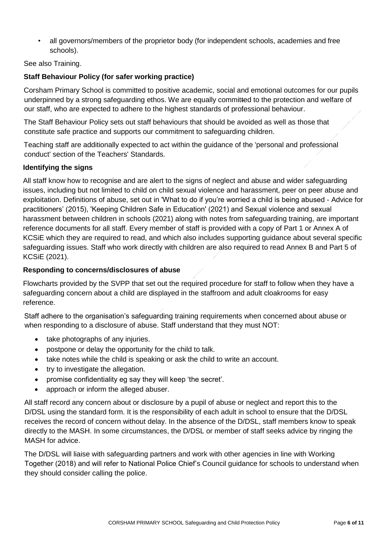• all governors/members of the proprietor body (for independent schools, academies and free schools).

#### See also Training.

#### **Staff Behaviour Policy (for safer working practice)**

Corsham Primary School is committed to positive academic, social and emotional outcomes for our pupils underpinned by a strong safeguarding ethos. We are equally committed to the protection and welfare of our staff, who are expected to adhere to the highest standards of professional behaviour.

The Staff Behaviour Policy sets out staff behaviours that should be avoided as well as those that constitute safe practice and supports our commitment to safeguarding children.

Teaching staff are additionally expected to act within the guidance of the 'personal and professional conduct' section of the Teachers' Standards.

#### **Identifying the signs**

All staff know how to recognise and are alert to the signs of neglect and abuse and wider safeguarding issues, including but not limited to child on child sexual violence and harassment, peer on peer abuse and exploitation. Definitions of abuse, set out in 'What to do if you're worried a child is being abused - Advice for practitioners' (2015), 'Keeping Children Safe in Education' (2021) and Sexual violence and sexual harassment between children in schools (2021) along with notes from safeguarding training, are important reference documents for all staff. Every member of staff is provided with a copy of Part 1 or Annex A of KCSiE which they are required to read, and which also includes supporting guidance about several specific safeguarding issues. Staff who work directly with children are also required to read Annex B and Part 5 of KCSiE (2021).

#### **Responding to concerns/disclosures of abuse**

Flowcharts provided by the SVPP that set out the required procedure for staff to follow when they have a safeguarding concern about a child are displayed in the staffroom and adult cloakrooms for easy reference.

Staff adhere to the organisation's safeguarding training requirements when concerned about abuse or when responding to a disclosure of abuse. Staff understand that they must NOT:

- take photographs of any injuries.
- postpone or delay the opportunity for the child to talk.
- take notes while the child is speaking or ask the child to write an account.
- try to investigate the allegation.
- promise confidentiality eg say they will keep 'the secret'.
- approach or inform the alleged abuser.

All staff record any concern about or disclosure by a pupil of abuse or neglect and report this to the D/DSL using the standard form. It is the responsibility of each adult in school to ensure that the D/DSL receives the record of concern without delay. In the absence of the D/DSL, staff members know to speak directly to the MASH. In some circumstances, the D/DSL or member of staff seeks advice by ringing the MASH for advice.

The D/DSL will liaise with safeguarding partners and work with other agencies in line with Working Together (2018) and will refer to National Police Chief's Council guidance for schools to understand when they should consider calling the police.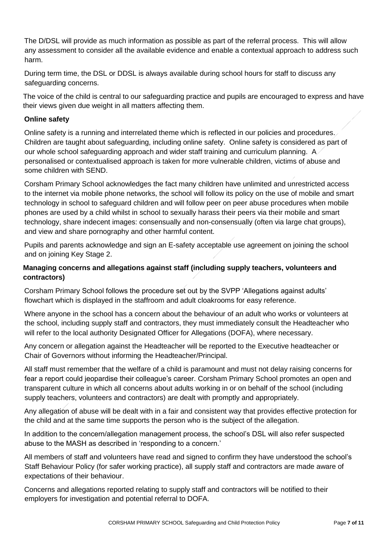The D/DSL will provide as much information as possible as part of the referral process. This will allow any assessment to consider all the available evidence and enable a contextual approach to address such harm.

During term time, the DSL or DDSL is always available during school hours for staff to discuss any safeguarding concerns.

The voice of the child is central to our safeguarding practice and pupils are encouraged to express and have their views given due weight in all matters affecting them.

#### **Online safety**

Online safety is a running and interrelated theme which is reflected in our policies and procedures. Children are taught about safeguarding, including online safety. Online safety is considered as part of our whole school safeguarding approach and wider staff training and curriculum planning. A personalised or contextualised approach is taken for more vulnerable children, victims of abuse and some children with SEND.

Corsham Primary School acknowledges the fact many children have unlimited and unrestricted access to the internet via mobile phone networks, the school will follow its policy on the use of mobile and smart technology in school to safeguard children and will follow peer on peer abuse procedures when mobile phones are used by a child whilst in school to sexually harass their peers via their mobile and smart technology, share indecent images: consensually and non-consensually (often via large chat groups), and view and share pornography and other harmful content.

Pupils and parents acknowledge and sign an E-safety acceptable use agreement on joining the school and on joining Key Stage 2.

#### **Managing concerns and allegations against staff (including supply teachers, volunteers and contractors)**

Corsham Primary School follows the procedure set out by the SVPP 'Allegations against adults' flowchart which is displayed in the staffroom and adult cloakrooms for easy reference.

Where anyone in the school has a concern about the behaviour of an adult who works or volunteers at the school, including supply staff and contractors, they must immediately consult the Headteacher who will refer to the local authority Designated Officer for Allegations (DOFA), where necessary.

Any concern or allegation against the Headteacher will be reported to the Executive headteacher or Chair of Governors without informing the Headteacher/Principal.

All staff must remember that the welfare of a child is paramount and must not delay raising concerns for fear a report could jeopardise their colleague's career. Corsham Primary School promotes an open and transparent culture in which all concerns about adults working in or on behalf of the school (including supply teachers, volunteers and contractors) are dealt with promptly and appropriately.

Any allegation of abuse will be dealt with in a fair and consistent way that provides effective protection for the child and at the same time supports the person who is the subject of the allegation.

In addition to the concern/allegation management process, the school's DSL will also refer suspected abuse to the MASH as described in 'responding to a concern.'

All members of staff and volunteers have read and signed to confirm they have understood the school's Staff Behaviour Policy (for safer working practice), all supply staff and contractors are made aware of expectations of their behaviour.

Concerns and allegations reported relating to supply staff and contractors will be notified to their employers for investigation and potential referral to DOFA.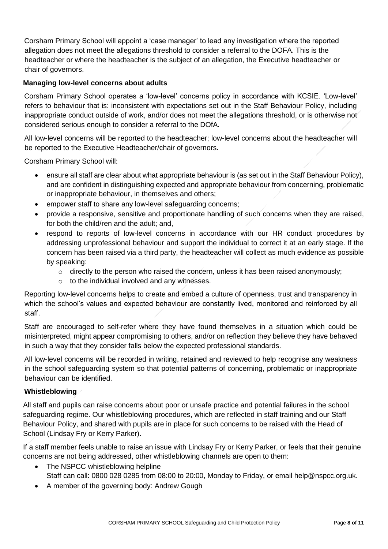Corsham Primary School will appoint a 'case manager' to lead any investigation where the reported allegation does not meet the allegations threshold to consider a referral to the DOFA. This is the headteacher or where the headteacher is the subject of an allegation, the Executive headteacher or chair of governors.

#### **Managing low-level concerns about adults**

Corsham Primary School operates a 'low-level' concerns policy in accordance with KCSIE. 'Low-level' refers to behaviour that is: inconsistent with expectations set out in the Staff Behaviour Policy, including inappropriate conduct outside of work, and/or does not meet the allegations threshold, or is otherwise not considered serious enough to consider a referral to the DOfA.

All low-level concerns will be reported to the headteacher; low-level concerns about the headteacher will be reported to the Executive Headteacher/chair of governors.

Corsham Primary School will:

- ensure all staff are clear about what appropriate behaviour is (as set out in the Staff Behaviour Policy), and are confident in distinguishing expected and appropriate behaviour from concerning, problematic or inappropriate behaviour, in themselves and others;
- empower staff to share any low-level safeguarding concerns;
- provide a responsive, sensitive and proportionate handling of such concerns when they are raised, for both the child/ren and the adult; and,
- respond to reports of low-level concerns in accordance with our HR conduct procedures by addressing unprofessional behaviour and support the individual to correct it at an early stage. If the concern has been raised via a third party, the headteacher will collect as much evidence as possible by speaking:
	- o directly to the person who raised the concern, unless it has been raised anonymously;
	- o to the individual involved and any witnesses.

Reporting low-level concerns helps to create and embed a culture of openness, trust and transparency in which the school's values and expected behaviour are constantly lived, monitored and reinforced by all staff.

Staff are encouraged to self-refer where they have found themselves in a situation which could be misinterpreted, might appear compromising to others, and/or on reflection they believe they have behaved in such a way that they consider falls below the expected professional standards.

All low-level concerns will be recorded in writing, retained and reviewed to help recognise any weakness in the school safeguarding system so that potential patterns of concerning, problematic or inappropriate behaviour can be identified.

#### **Whistleblowing**

All staff and pupils can raise concerns about poor or unsafe practice and potential failures in the school safeguarding regime. Our whistleblowing procedures, which are reflected in staff training and our Staff Behaviour Policy, and shared with pupils are in place for such concerns to be raised with the Head of School (Lindsay Fry or Kerry Parker).

If a staff member feels unable to raise an issue with Lindsay Fry or Kerry Parker, or feels that their genuine concerns are not being addressed, other whistleblowing channels are open to them:

- The NSPCC whistleblowing helpline Staff can call: 0800 028 0285 from 08:00 to 20:00, Monday to Friday, or email help@nspcc.org.uk.
- A member of the governing body: Andrew Gough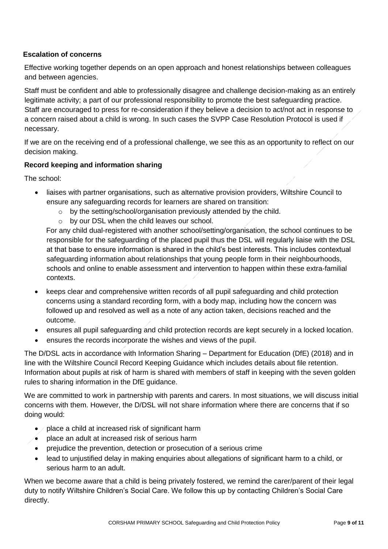#### **Escalation of concerns**

Effective working together depends on an open approach and honest relationships between colleagues and between agencies.

Staff must be confident and able to professionally disagree and challenge decision-making as an entirely legitimate activity; a part of our professional responsibility to promote the best safeguarding practice. Staff are encouraged to press for re-consideration if they believe a decision to act/not act in response to a concern raised about a child is wrong. In such cases the SVPP Case Resolution Protocol is used if necessary.

If we are on the receiving end of a professional challenge, we see this as an opportunity to reflect on our decision making.

#### **Record keeping and information sharing**

The school:

- liaises with partner organisations, such as alternative provision providers, Wiltshire Council to ensure any safeguarding records for learners are shared on transition:
	- o by the setting/school/organisation previously attended by the child.
	- o by our DSL when the child leaves our school.

For any child dual-registered with another school/setting/organisation, the school continues to be responsible for the safeguarding of the placed pupil thus the DSL will regularly liaise with the DSL at that base to ensure information is shared in the child's best interests. This includes contextual safeguarding information about relationships that young people form in their neighbourhoods, schools and online to enable assessment and intervention to happen within these extra-familial contexts.

- keeps clear and comprehensive written records of all pupil safeguarding and child protection concerns using a standard recording form, with a body map, including how the concern was followed up and resolved as well as a note of any action taken, decisions reached and the outcome.
- ensures all pupil safeguarding and child protection records are kept securely in a locked location.
- ensures the records incorporate the wishes and views of the pupil.

The D/DSL acts in accordance with Information Sharing – Department for Education (DfE) (2018) and in line with the Wiltshire Council Record Keeping Guidance which includes details about file retention. Information about pupils at risk of harm is shared with members of staff in keeping with the seven golden rules to sharing information in the DfE guidance.

We are committed to work in partnership with parents and carers. In most situations, we will discuss initial concerns with them. However, the D/DSL will not share information where there are concerns that if so doing would:

- $\bullet$  / place a child at increased risk of significant harm
- place an adult at increased risk of serious harm
- prejudice the prevention, detection or prosecution of a serious crime
- lead to unjustified delay in making enquiries about allegations of significant harm to a child, or serious harm to an adult.

When we become aware that a child is being privately fostered, we remind the carer/parent of their legal duty to notify Wiltshire Children's Social Care. We follow this up by contacting Children's Social Care directly.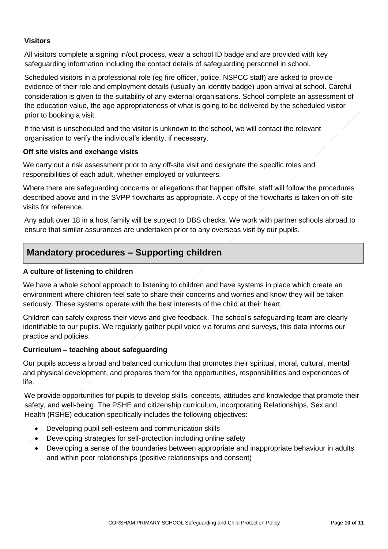#### **Visitors**

All visitors complete a signing in/out process, wear a school ID badge and are provided with key safeguarding information including the contact details of safeguarding personnel in school.

Scheduled visitors in a professional role (eg fire officer, police, NSPCC staff) are asked to provide evidence of their role and employment details (usually an identity badge) upon arrival at school. Careful consideration is given to the suitability of any external organisations. School complete an assessment of the education value, the age appropriateness of what is going to be delivered by the scheduled visitor prior to booking a visit.

If the visit is unscheduled and the visitor is unknown to the school, we will contact the relevant organisation to verify the individual's identity, if necessary.

#### **Off site visits and exchange visits**

We carry out a risk assessment prior to any off-site visit and designate the specific roles and responsibilities of each adult, whether employed or volunteers.

Where there are safeguarding concerns or allegations that happen offsite, staff will follow the procedures described above and in the SVPP flowcharts as appropriate. A copy of the flowcharts is taken on off-site visits for reference.

Any adult over 18 in a host family will be subject to DBS checks. We work with partner schools abroad to ensure that similar assurances are undertaken prior to any overseas visit by our pupils.

# **Mandatory procedures – Supporting children**

#### **A culture of listening to children**

We have a whole school approach to listening to children and have systems in place which create an environment where children feel safe to share their concerns and worries and know they will be taken seriously. These systems operate with the best interests of the child at their heart.

Children can safely express their views and give feedback. The school's safeguarding team are clearly identifiable to our pupils. We regularly gather pupil voice via forums and surveys, this data informs our practice and policies.

#### **Curriculum – teaching about safeguarding**

Our pupils access a broad and balanced curriculum that promotes their spiritual, moral, cultural, mental and physical development, and prepares them for the opportunities, responsibilities and experiences of life.

We provide opportunities for pupils to develop skills, concepts, attitudes and knowledge that promote their safety, and well-being. The PSHE and citizenship curriculum, incorporating Relationships, Sex and Health (RSHE) education specifically includes the following objectives:

- */* Developing pupil self-esteem and communication skills
- Developing strategies for self-protection including online safety
- Developing a sense of the boundaries between appropriate and inappropriate behaviour in adults and within peer relationships (positive relationships and consent)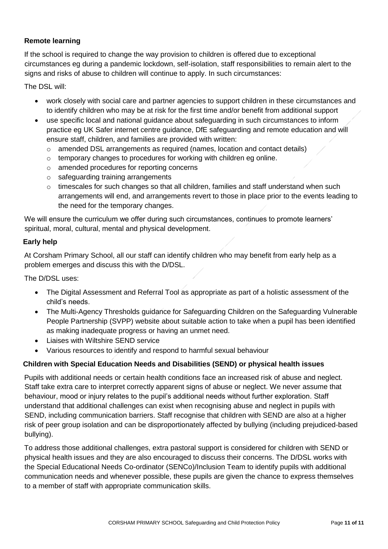#### **Remote learning**

If the school is required to change the way provision to children is offered due to exceptional circumstances eg during a pandemic lockdown, self-isolation, staff responsibilities to remain alert to the signs and risks of abuse to children will continue to apply. In such circumstances:

The DSL will:

- work closely with social care and partner agencies to support children in these circumstances and to identify children who may be at risk for the first time and/or benefit from additional support
- use specific local and national guidance about safeguarding in such circumstances to inform practice eg UK Safer internet centre guidance, DfE safeguarding and remote education and will ensure staff, children, and families are provided with written:
	- o amended DSL arrangements as required (names, location and contact details)
	- o temporary changes to procedures for working with children eg online.
	- o amended procedures for reporting concerns
	- o safeguarding training arrangements
	- o timescales for such changes so that all children, families and staff understand when such arrangements will end, and arrangements revert to those in place prior to the events leading to the need for the temporary changes.

We will ensure the curriculum we offer during such circumstances, continues to promote learners' spiritual, moral, cultural, mental and physical development.

#### **Early help**

At Corsham Primary School, all our staff can identify children who may benefit from early help as a problem emerges and discuss this with the D/DSL.

The D/DSL uses:

- The Digital Assessment and Referral Tool as appropriate as part of a holistic assessment of the child's needs.
- The Multi-Agency Thresholds guidance for Safeguarding Children on the Safeguarding Vulnerable People Partnership (SVPP) website about suitable action to take when a pupil has been identified as making inadequate progress or having an unmet need.
- Liaises with Wiltshire SEND service
- Various resources to identify and respond to harmful sexual behaviour

#### **Children with Special Education Needs and Disabilities (SEND) or physical health issues**

Pupils with additional needs or certain health conditions face an increased risk of abuse and neglect. Staff take extra care to interpret correctly apparent signs of abuse or neglect. We never assume that behaviour, mood or injury relates to the pupil's additional needs without further exploration. Staff understand that additional challenges can exist when recognising abuse and neglect in pupils with SEND, including communication barriers. Staff recognise that children with SEND are also at a higher risk of peer group isolation and can be disproportionately affected by bullying (including prejudiced-based bullying).

To address those additional challenges, extra pastoral support is considered for children with SEND or physical health issues and they are also encouraged to discuss their concerns. The D/DSL works with the Special Educational Needs Co-ordinator (SENCo)/Inclusion Team to identify pupils with additional communication needs and whenever possible, these pupils are given the chance to express themselves to a member of staff with appropriate communication skills.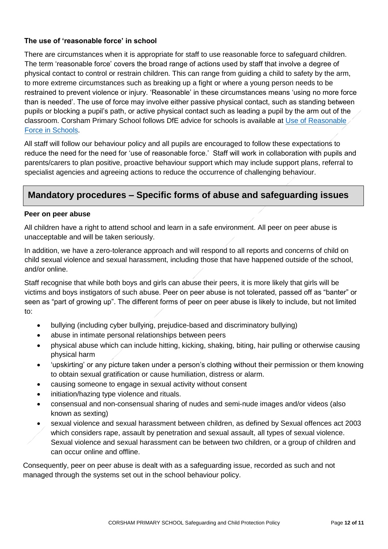#### **The use of 'reasonable force' in school**

There are circumstances when it is appropriate for staff to use reasonable force to safeguard children. The term 'reasonable force' covers the broad range of actions used by staff that involve a degree of physical contact to control or restrain children. This can range from guiding a child to safety by the arm, to more extreme circumstances such as breaking up a fight or where a young person needs to be restrained to prevent violence or injury. 'Reasonable' in these circumstances means 'using no more force than is needed'. The use of force may involve either passive physical contact, such as standing between pupils or blocking a pupil's path, or active physical contact such as leading a pupil by the arm out of the classroom. Corsham Primary School follows DfE advice for schools is available at [Use of Reasonable](https://assets.publishing.service.gov.uk/government/uploads/system/uploads/attachment_data/file/444051/Use_of_reasonable_force_advice_Reviewed_July_2015.pdf)  [Force in Schools.](https://assets.publishing.service.gov.uk/government/uploads/system/uploads/attachment_data/file/444051/Use_of_reasonable_force_advice_Reviewed_July_2015.pdf)

All staff will follow our behaviour policy and all pupils are encouraged to follow these expectations to reduce the need for the need for 'use of reasonable force.' Staff will work in collaboration with pupils and parents/carers to plan positive, proactive behaviour support which may include support plans, referral to specialist agencies and agreeing actions to reduce the occurrence of challenging behaviour.

# **Mandatory procedures – Specific forms of abuse and safeguarding issues**

#### **Peer on peer abuse**

All children have a right to attend school and learn in a safe environment. All peer on peer abuse is unacceptable and will be taken seriously.

In addition, we have a zero-tolerance approach and will respond to all reports and concerns of child on child sexual violence and sexual harassment, including those that have happened outside of the school, and/or online.

Staff recognise that while both boys and girls can abuse their peers, it is more likely that girls will be victims and boys instigators of such abuse. Peer on peer abuse is not tolerated, passed off as "banter" or seen as "part of growing up". The different forms of peer on peer abuse is likely to include, but not limited to:

- bullying (including cyber bullying, prejudice-based and discriminatory bullying)
- abuse in intimate personal relationships between peers
- physical abuse which can include hitting, kicking, shaking, biting, hair pulling or otherwise causing physical harm
- 'upskirting' or any picture taken under a person's clothing without their permission or them knowing to obtain sexual gratification or cause humiliation, distress or alarm.
- causing someone to engage in sexual activity without consent
- initiation/hazing type violence and rituals.
- consensual and non-consensual sharing of nudes and semi-nude images and/or videos (also known as sexting)
- sexual violence and sexual harassment between children, as defined by Sexual offences act 2003 which considers rape, assault by penetration and sexual assault, all types of sexual violence. Sexual violence and sexual harassment can be between two children, or a group of children and can occur online and offline.

Consequently, peer on peer abuse is dealt with as a safeguarding issue, recorded as such and not managed through the systems set out in the school behaviour policy.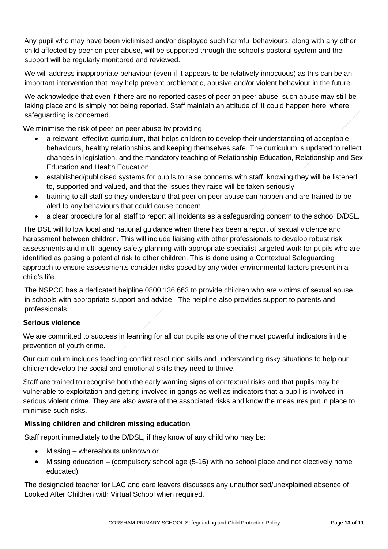Any pupil who may have been victimised and/or displayed such harmful behaviours, along with any other child affected by peer on peer abuse, will be supported through the school's pastoral system and the support will be regularly monitored and reviewed.

We will address inappropriate behaviour (even if it appears to be relatively innocuous) as this can be an important intervention that may help prevent problematic, abusive and/or violent behaviour in the future.

We acknowledge that even if there are no reported cases of peer on peer abuse, such abuse may still be taking place and is simply not being reported. Staff maintain an attitude of 'it could happen here' where safeguarding is concerned.

We minimise the risk of peer on peer abuse by providing:

- a relevant, effective curriculum, that helps children to develop their understanding of acceptable behaviours, healthy relationships and keeping themselves safe. The curriculum is updated to reflect changes in legislation, and the mandatory teaching of Relationship Education, Relationship and Sex Education and Health Education
- established/publicised systems for pupils to raise concerns with staff, knowing they will be listened to, supported and valued, and that the issues they raise will be taken seriously
- training to all staff so they understand that peer on peer abuse can happen and are trained to be alert to any behaviours that could cause concern
- a clear procedure for all staff to report all incidents as a safeguarding concern to the school D/DSL.

The DSL will follow local and national guidance when there has been a report of sexual violence and harassment between children. This will include liaising with other professionals to develop robust risk assessments and multi-agency safety planning with appropriate specialist targeted work for pupils who are identified as posing a potential risk to other children. This is done using a Contextual Safeguarding approach to ensure assessments consider risks posed by any wider environmental factors present in a child's life.

The NSPCC has a dedicated helpline 0800 136 663 to provide children who are victims of sexual abuse in schools with appropriate support and advice. The helpline also provides support to parents and professionals.

#### **Serious violence**

We are committed to success in learning for all our pupils as one of the most powerful indicators in the prevention of youth crime.

Our curriculum includes teaching conflict resolution skills and understanding risky situations to help our children develop the social and emotional skills they need to thrive.

Staff are trained to recognise both the early warning signs of contextual risks and that pupils may be vulnerable to exploitation and getting involved in gangs as well as indicators that a pupil is involved in serious violent crime. They are also aware of the associated risks and know the measures put in place to minimise such risks.

#### **Missing children and children missing education**

Staff report immediately to the D/DSL, if they know of any child who may be:

- Missing whereabouts unknown or
- Missing education (compulsory school age (5-16) with no school place and not electively home educated)

The designated teacher for LAC and care leavers discusses any unauthorised/unexplained absence of Looked After Children with Virtual School when required.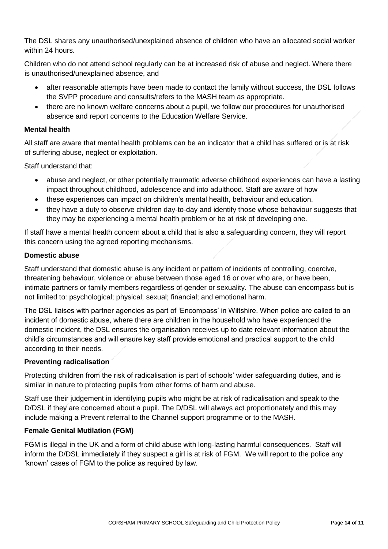The DSL shares any unauthorised/unexplained absence of children who have an allocated social worker within 24 hours.

Children who do not attend school regularly can be at increased risk of abuse and neglect. Where there is unauthorised/unexplained absence, and

- after reasonable attempts have been made to contact the family without success, the DSL follows the SVPP procedure and consults/refers to the MASH team as appropriate.
- there are no known welfare concerns about a pupil, we follow our procedures for unauthorised absence and report concerns to the Education Welfare Service.

#### **Mental health**

All staff are aware that mental health problems can be an indicator that a child has suffered or is at risk of suffering abuse, neglect or exploitation.

Staff understand that:

- abuse and neglect, or other potentially traumatic adverse childhood experiences can have a lasting impact throughout childhood, adolescence and into adulthood. Staff are aware of how
- these experiences can impact on children's mental health, behaviour and education.
- they have a duty to observe children day-to-day and identify those whose behaviour suggests that they may be experiencing a mental health problem or be at risk of developing one.

If staff have a mental health concern about a child that is also a safeguarding concern, they will report this concern using the agreed reporting mechanisms.

#### **Domestic abuse**

Staff understand that domestic abuse is any incident or pattern of incidents of controlling, coercive, threatening behaviour, violence or abuse between those aged 16 or over who are, or have been, intimate partners or family members regardless of gender or sexuality. The abuse can encompass but is not limited to: psychological; physical; sexual; financial; and emotional harm.

The DSL liaises with partner agencies as part of 'Encompass' in Wiltshire. When police are called to an incident of domestic abuse, where there are children in the household who have experienced the domestic incident, the DSL ensures the organisation receives up to date relevant information about the child's circumstances and will ensure key staff provide emotional and practical support to the child according to their needs.

#### **Preventing radicalisation**

Protecting children from the risk of radicalisation is part of schools' wider safeguarding duties, and is similar in nature to protecting pupils from other forms of harm and abuse.

Staff use their judgement in identifying pupils who might be at risk of radicalisation and speak to the D/DSL if they are concerned about a pupil. The D/DSL will always act proportionately and this may include making a Prevent referral to the Channel support programme or to the MASH.

#### **Female Genital Mutilation (FGM)**

FGM is illegal in the UK and a form of child abuse with long-lasting harmful consequences. Staff will inform the D/DSL immediately if they suspect a girl is at risk of FGM. We will report to the police any 'known' cases of FGM to the police as required by law.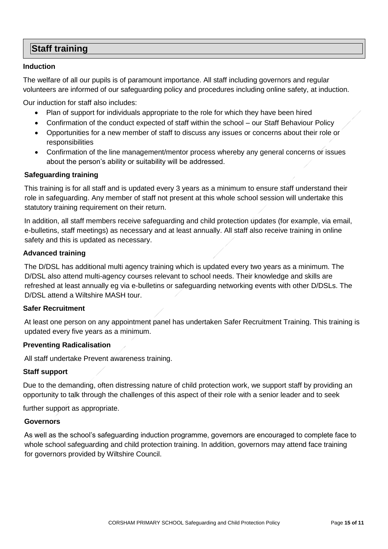# **Staff training**

#### **Induction**

The welfare of all our pupils is of paramount importance. All staff including governors and regular volunteers are informed of our safeguarding policy and procedures including online safety, at induction.

Our induction for staff also includes:

- Plan of support for individuals appropriate to the role for which they have been hired
- Confirmation of the conduct expected of staff within the school our Staff Behaviour Policy
- Opportunities for a new member of staff to discuss any issues or concerns about their role or responsibilities
- Confirmation of the line management/mentor process whereby any general concerns or issues about the person's ability or suitability will be addressed.

#### **Safeguarding training**

This training is for all staff and is updated every 3 years as a minimum to ensure staff understand their role in safeguarding. Any member of staff not present at this whole school session will undertake this statutory training requirement on their return.

In addition, all staff members receive safeguarding and child protection updates (for example, via email, e-bulletins, staff meetings) as necessary and at least annually. All staff also receive training in online safety and this is updated as necessary.

#### **Advanced training**

The D/DSL has additional multi agency training which is updated every two years as a minimum. The D/DSL also attend multi-agency courses relevant to school needs. Their knowledge and skills are refreshed at least annually eg via e-bulletins or safeguarding networking events with other D/DSLs. The D/DSL attend a Wiltshire MASH tour.

#### **Safer Recruitment**

At least one person on any appointment panel has undertaken Safer Recruitment Training. This training is updated every five years as a minimum.

#### **Preventing Radicalisation**

All staff undertake Prevent awareness training.

#### **Staff support**

Due to the demanding, often distressing nature of child protection work, we support staff by providing an opportunity to talk through the challenges of this aspect of their role with a senior leader and to seek

further support as appropriate.

#### **Governors**

As well as the school's safeguarding induction programme, governors are encouraged to complete face to whole school safeguarding and child protection training. In addition, governors may attend face training for governors provided by Wiltshire Council.